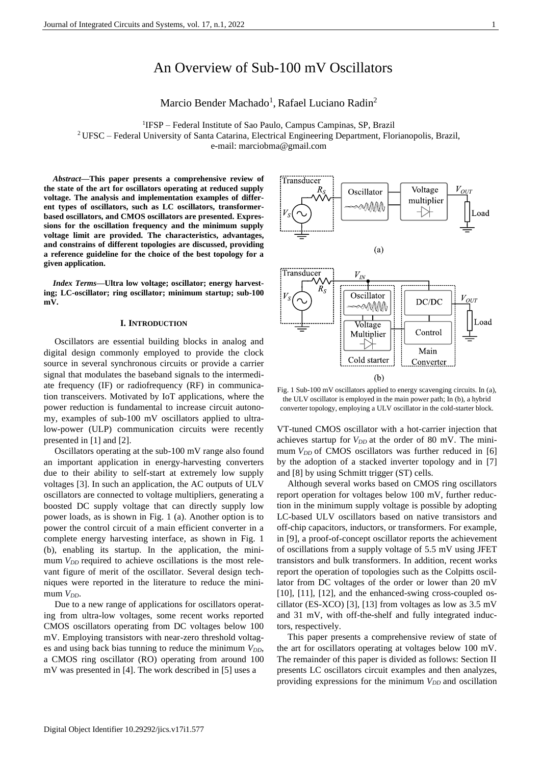# An Overview of Sub-100 mV Oscillators

Marcio Bender Machado<sup>1</sup>, Rafael Luciano Radin<sup>2</sup>

<sup>1</sup>IFSP - Federal Institute of Sao Paulo, Campus Campinas, SP, Brazil <sup>2</sup> UFSC – Federal University of Santa Catarina, Electrical Engineering Department, Florianopolis, Brazil, e-mail: marciobma@gmail.com

*Abstract***—This paper presents a comprehensive review of the state of the art for oscillators operating at reduced supply voltage. The analysis and implementation examples of different types of oscillators, such as LC oscillators, transformerbased oscillators, and CMOS oscillators are presented. Expressions for the oscillation frequency and the minimum supply voltage limit are provided. The characteristics, advantages, and constrains of different topologies are discussed, providing a reference guideline for the choice of the best topology for a given application.** 

*Index Terms***—Ultra low voltage; oscillator; energy harvesting; LC-oscillator; ring oscillator; minimum startup; sub-100 mV.**

### **I. INTRODUCTION**

Oscillators are essential building blocks in analog and digital design commonly employed to provide the clock source in several synchronous circuits or provide a carrier signal that modulates the baseband signals to the intermediate frequency (IF) or radiofrequency (RF) in communication transceivers. Motivated by IoT applications, where the power reduction is fundamental to increase circuit autonomy, examples of sub-100 mV oscillators applied to ultralow-power (ULP) communication circuits were recently presented in [1] and [2].

Oscillators operating at the sub-100 mV range also found an important application in energy-harvesting converters due to their ability to self-start at extremely low supply voltages [3]. In such an application, the AC outputs of ULV oscillators are connected to voltage multipliers, generating a boosted DC supply voltage that can directly supply low power loads, as is shown in [Fig. 1](#page-0-0) (a). Another option is to power the control circuit of a main efficient converter in a complete energy harvesting interface, as shown in [Fig. 1](#page-0-0) (b), enabling its startup. In the application, the minimum *V<sub>DD</sub>* required to achieve oscillations is the most relevant figure of merit of the oscillator. Several design techniques were reported in the literature to reduce the minimum  $V_{DD}$ .

Due to a new range of applications for oscillators operating from ultra-low voltages, some recent works reported CMOS oscillators operating from DC voltages below 100 mV. Employing transistors with near-zero threshold voltages and using back bias tunning to reduce the minimum  $V_{DD}$ , a CMOS ring oscillator (RO) operating from around 100 mV was presented in [4]. The work described in [5] uses a



<span id="page-0-0"></span>Fig. 1 Sub-100 mV oscillators applied to energy scavenging circuits. In (a), the ULV oscillator is employed in the main power path; In (b), a hybrid converter topology, employing a ULV oscillator in the cold-starter block.

VT-tuned CMOS oscillator with a hot-carrier injection that achieves startup for  $V_{DD}$  at the order of 80 mV. The minimum *V<sub>DD</sub>* of CMOS oscillators was further reduced in [6] by the adoption of a stacked inverter topology and in [7] and [8] by using Schmitt trigger (ST) cells.

Although several works based on CMOS ring oscillators report operation for voltages below 100 mV, further reduction in the minimum supply voltage is possible by adopting LC-based ULV oscillators based on native transistors and off-chip capacitors, inductors, or transformers. For example, in [9], a proof-of-concept oscillator reports the achievement of oscillations from a supply voltage of 5.5 mV using JFET transistors and bulk transformers. In addition, recent works report the operation of topologies such as the Colpitts oscillator from DC voltages of the order or lower than 20 mV [10], [11], [12], and the enhanced-swing cross-coupled oscillator (ES-XCO) [3], [13] from voltages as low as 3.5 mV and 31 mV, with off-the-shelf and fully integrated inductors, respectively.

This paper presents a comprehensive review of state of the art for oscillators operating at voltages below 100 mV. The remainder of this paper is divided as follows: Section II presents LC oscillators circuit examples and then analyzes, providing expressions for the minimum *V<sub>DD</sub>* and oscillation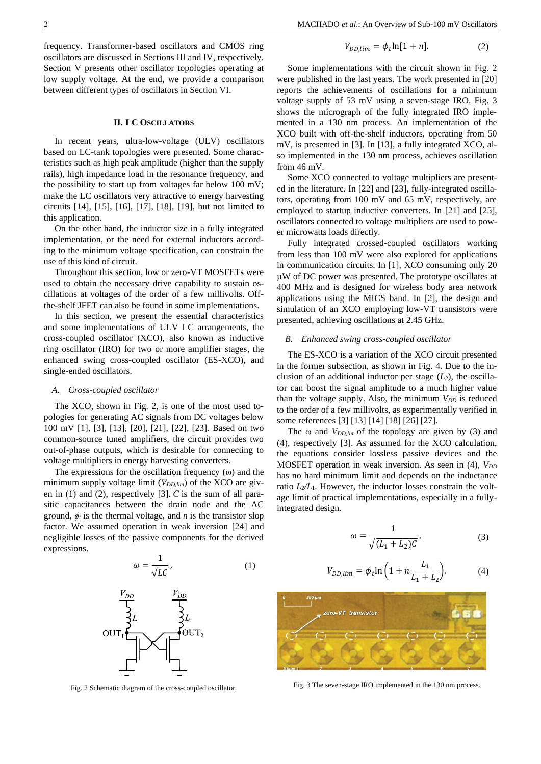frequency. Transformer-based oscillators and CMOS ring oscillators are discussed in Sections III and IV, respectively. Section V presents other oscillator topologies operating at low supply voltage. At the end, we provide a comparison between different types of oscillators in Section VI.

### **II. LC OSCILLATORS**

In recent years, ultra-low-voltage (ULV) oscillators based on LC-tank topologies were presented. Some characteristics such as high peak amplitude (higher than the supply rails), high impedance load in the resonance frequency, and the possibility to start up from voltages far below 100 mV; make the LC oscillators very attractive to energy harvesting circuits [14], [15], [16], [17], [18], [19], but not limited to this application.

On the other hand, the inductor size in a fully integrated implementation, or the need for external inductors according to the minimum voltage specification, can constrain the use of this kind of circuit.

Throughout this section, low or zero-VT MOSFETs were used to obtain the necessary drive capability to sustain oscillations at voltages of the order of a few millivolts. Offthe-shelf JFET can also be found in some implementations.

In this section, we present the essential characteristics and some implementations of ULV LC arrangements, the cross-coupled oscillator (XCO), also known as inductive ring oscillator (IRO) for two or more amplifier stages, the enhanced swing cross-coupled oscillator (ES-XCO), and single-ended oscillators.

### *A. Cross-coupled oscillator*

The XCO, shown in [Fig. 2,](#page-1-0) is one of the most used topologies for generating AC signals from DC voltages below 100 mV [1], [3], [13], [20], [21], [22], [23]. Based on two common-source tuned amplifiers, the circuit provides two out-of-phase outputs, which is desirable for connecting to voltage multipliers in energy harvesting converters.

The expressions for the oscillation frequency  $(\omega)$  and the minimum supply voltage limit  $(V_{DD,lim})$  of the XCO are given in [\(1\)](#page-1-1) and [\(2\),](#page-1-2) respectively [3]. *C* is the sum of all parasitic capacitances between the drain node and the AC ground,  $\phi_t$  is the thermal voltage, and *n* is the transistor slop factor. We assumed operation in weak inversion [24] and negligible losses of the passive components for the derived expressions.

$$
\omega = \frac{1}{\sqrt{LC}},\tag{1}
$$



<span id="page-1-0"></span>Fig. 2 Schematic diagram of the cross-coupled oscillator.

<span id="page-1-2"></span>
$$
V_{DD,lim} = \phi_t \ln[1+n]. \tag{2}
$$

Some implementations with the circuit shown in [Fig. 2](#page-1-0) were published in the last years. The work presented in [20] reports the achievements of oscillations for a minimum voltage supply of 53 mV using a seven-stage IRO. [Fig. 3](#page-1-3) shows the micrograph of the fully integrated IRO implemented in a 130 nm process. An implementation of the XCO built with off-the-shelf inductors, operating from 50 mV, is presented in [3]. In [13], a fully integrated XCO, also implemented in the 130 nm process, achieves oscillation from 46 mV.

Some XCO connected to voltage multipliers are presented in the literature. In [22] and [23], fully-integrated oscillators, operating from 100 mV and 65 mV, respectively, are employed to startup inductive converters. In [21] and [25], oscillators connected to voltage multipliers are used to power microwatts loads directly.

Fully integrated crossed-coupled oscillators working from less than 100 mV were also explored for applications in communication circuits. In [1], XCO consuming only 20 µW of DC power was presented. The prototype oscillates at 400 MHz and is designed for wireless body area network applications using the MICS band. In [2], the design and simulation of an XCO employing low-VT transistors were presented, achieving oscillations at 2.45 GHz.

### *B. Enhanced swing cross-coupled oscillator*

The ES-XCO is a variation of the XCO circuit presented in the former subsection, as shown in [Fig. 4.](#page-2-0) Due to the inclusion of an additional inductor per stage  $(L_2)$ , the oscillator can boost the signal amplitude to a much higher value than the voltage supply. Also, the minimum *V<sub>DD</sub>* is reduced to the order of a few millivolts, as experimentally verified in some references [3] [13] [14] [18] [26] [27].

The ω and *VDD,lim* of the topology are given by [\(3\)](#page-1-4) and [\(4\),](#page-1-5) respectively [3]. As assumed for the XCO calculation, the equations consider lossless passive devices and the MOSFET operation in weak inversion. As seen in [\(4\),](#page-1-5)  $V_{DD}$ has no hard minimum limit and depends on the inductance ratio  $L_2/L_1$ . However, the inductor losses constrain the voltage limit of practical implementations, especially in a fullyintegrated design.

<span id="page-1-5"></span><span id="page-1-4"></span>
$$
\omega = \frac{1}{\sqrt{(L_1 + L_2)\mathcal{C}}},\tag{3}
$$

$$
V_{DD,lim} = \phi_t \ln \left( 1 + n \frac{L_1}{L_1 + L_2} \right).
$$
 (4)

<span id="page-1-3"></span><span id="page-1-1"></span>

Fig. 3 The seven-stage IRO implemented in the 130 nm process.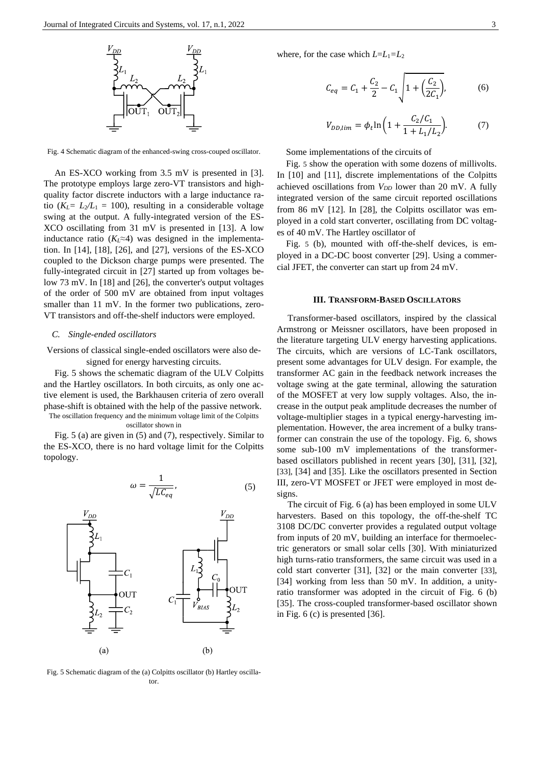

<span id="page-2-0"></span>Fig. 4 Schematic diagram of the enhanced-swing cross-couped oscillator.

An ES-XCO working from 3.5 mV is presented in [3]. The prototype employs large zero-VT transistors and highquality factor discrete inductors with a large inductance ratio  $(K_L = L_2/L_1 = 100)$ , resulting in a considerable voltage swing at the output. A fully-integrated version of the ES-XCO oscillating from 31 mV is presented in [13]. A low inductance ratio  $(K_L \approx 4)$  was designed in the implementation. In [14], [18], [26], and [27], versions of the ES-XCO coupled to the Dickson charge pumps were presented. The fully-integrated circuit in [27] started up from voltages below 73 mV. In [18] and [26], the converter's output voltages of the order of 500 mV are obtained from input voltages smaller than 11 mV. In the former two publications, zero-VT transistors and off-the-shelf inductors were employed.

### *C. Single-ended oscillators*

Versions of classical single-ended oscillators were also designed for energy harvesting circuits.

[Fig. 5](#page-2-1) shows the schematic diagram of the ULV Colpitts and the Hartley oscillators. In both circuits, as only one active element is used, the Barkhausen criteria of zero overall phase-shift is obtained with the help of the passive network. The oscillation frequency and the minimum voltage limit of the Colpitts

#### oscillator shown in

[Fig. 5](#page-2-1) (a) are given in [\(5\)](#page-2-2) an[d \(7\),](#page-2-3) respectively. Similar to the ES-XCO, there is no hard voltage limit for the Colpitts topology.

$$
\omega = \frac{1}{\sqrt{LC_{eq}}},\tag{5}
$$



<span id="page-2-1"></span>Fig. 5 Schematic diagram of the (a) Colpitts oscillator (b) Hartley oscillator.

where, for the case which  $L=L_1=L_2$ 

$$
C_{eq} = C_1 + \frac{C_2}{2} - C_1 \sqrt{1 + \left(\frac{C_2}{2C_1}\right)},
$$
 (6)

<span id="page-2-3"></span>
$$
V_{DD,lim} = \phi_t \ln \left( 1 + \frac{C_2/C_1}{1 + L_1/L_2} \right). \tag{7}
$$

Some implementations of the circuits of

[Fig.](#page-2-1) 5 show the operation with some dozens of millivolts. In [10] and [11], discrete implementations of the Colpitts achieved oscillations from  $V_{DD}$  lower than 20 mV. A fully integrated version of the same circuit reported oscillations from 86 mV [12]. In [28], the Colpitts oscillator was employed in a cold start converter, oscillating from DC voltages of 40 mV. The Hartley oscillator of

[Fig.](#page-2-1) 5 (b), mounted with off-the-shelf devices, is employed in a DC-DC boost converter [29]. Using a commercial JFET, the converter can start up from 24 mV.

#### **III. TRANSFORM-BASED OSCILLATORS**

Transformer-based oscillators, inspired by the classical Armstrong or Meissner oscillators, have been proposed in the literature targeting ULV energy harvesting applications. The circuits, which are versions of LC-Tank oscillators, present some advantages for ULV design. For example, the transformer AC gain in the feedback network increases the voltage swing at the gate terminal, allowing the saturation of the MOSFET at very low supply voltages. Also, the increase in the output peak amplitude decreases the number of voltage-multiplier stages in a typical energy-harvesting implementation. However, the area increment of a bulky transformer can constrain the use of the topology. [Fig. 6,](#page-3-0) shows some sub-100 mV implementations of the transformerbased oscillators published in recent years [30], [31], [32], [33], [34] and [35]. Like the oscillators presented in Section III, zero-VT MOSFET or JFET were employed in most designs.

<span id="page-2-2"></span>The circuit of [Fig. 6](#page-3-0) (a) has been employed in some ULV harvesters. Based on this topology, the off-the-shelf TC 3108 DC/DC converter provides a regulated output voltage from inputs of 20 mV, building an interface for thermoelectric generators or small solar cells [30]. With miniaturized high turns-ratio transformers, the same circuit was used in a cold start converter [31], [32] or the main converter [33], [34] working from less than 50 mV. In addition, a unityratio transformer was adopted in the circuit of [Fig. 6](#page-3-0) (b) [35]. The cross-coupled transformer-based oscillator shown in [Fig. 6](#page-3-0) (c) is presented [36].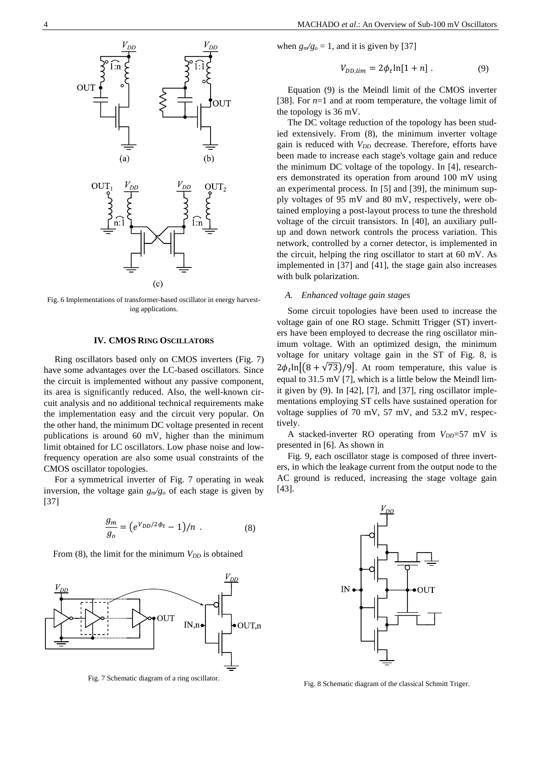

<span id="page-3-0"></span>Fig. 6 Implementations of transformer-based oscillator in energy harvesting applications.

### **IV. CMOS RING OSCILLATORS**

Ring oscillators based only on CMOS inverters [\(Fig. 7\)](#page-3-1) have some advantages over the LC-based oscillators. Since the circuit is implemented without any passive component, its area is significantly reduced. Also, the well-known circuit analysis and no additional technical requirements make the implementation easy and the circuit very popular. On the other hand, the minimum DC voltage presented in recent publications is around 60 mV, higher than the minimum limit obtained for LC oscillators. Low phase noise and lowfrequency operation are also some usual constraints of the CMOS oscillator topologies.

For a symmetrical inverter of [Fig. 7](#page-3-1) operating in weak inversion, the voltage gain *gm/g<sup>o</sup>* of each stage is given by [37]

$$
\frac{g_m}{g_o} = \left(e^{V_{DD}/2\phi_t} - 1\right) / n \tag{8}
$$

From  $(8)$ , the limit for the minimum  $V_{DD}$  is obtained



<span id="page-3-1"></span>Fig. 7 Schematic diagram of a ring oscillator.

when  $g_m/g_o = 1$ , and it is given by [37]

<span id="page-3-3"></span>
$$
V_{DD,lim} = 2\phi_t \ln[1+n] \ . \tag{9}
$$

Equation [\(9\)](#page-3-3) is the Meindl limit of the CMOS inverter [38]. For *n*=1 and at room temperature, the voltage limit of the topology is 36 mV.

The DC voltage reduction of the topology has been studied extensively. From (8), the minimum inverter voltage gain is reduced with  $V_{DD}$  decrease. Therefore, efforts have been made to increase each stage's voltage gain and reduce the minimum DC voltage of the topology. In [4], researchers demonstrated its operation from around 100 mV using an experimental process. In [5] and [39], the minimum supply voltages of 95 mV and 80 mV, respectively, were obtained employing a post-layout process to tune the threshold voltage of the circuit transistors. In [40], an auxiliary pullup and down network controls the process variation. This network, controlled by a corner detector, is implemented in the circuit, helping the ring oscillator to start at 60 mV. As implemented in [37] and [41], the stage gain also increases with bulk polarization.

# *A. Enhanced voltage gain stages*

Some circuit topologies have been used to increase the voltage gain of one RO stage. Schmitt Trigger (ST) inverters have been employed to decrease the ring oscillator minimum voltage. With an optimized design, the minimum voltage for unitary voltage gain in the ST of [Fig. 8,](#page-3-4) is  $2\phi_t \ln[(8 + \sqrt{73})/9]$ . At room temperature, this value is equal to 31.5 mV [7], which is a little below the Meindl limit given by [\(9\).](#page-3-3) In [42], [7], and [37], ring oscillator implementations employing ST cells have sustained operation for voltage supplies of 70 mV, 57 mV, and 53.2 mV, respectively.

A stacked-inverter RO operating from  $V_{DD}$ =57 mV is presented in [6]. As shown in

<span id="page-3-2"></span>[Fig.](#page-4-0) 9, each oscillator stage is composed of three inverters, in which the leakage current from the output node to the AC ground is reduced, increasing the stage voltage gain [43].



<span id="page-3-4"></span>Fig. 8 Schematic diagram of the classical Schmitt Triger.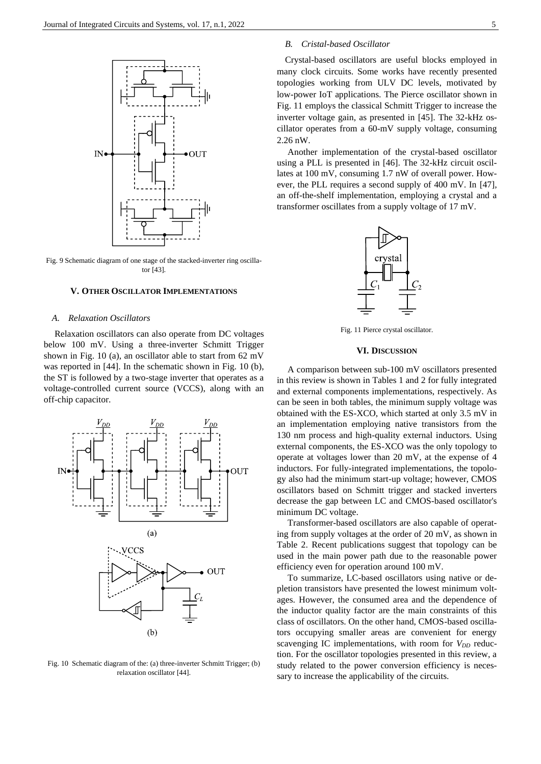

<span id="page-4-0"></span>Fig. 9 Schematic diagram of one stage of the stacked-inverter ring oscillator [43].

### **V. OTHER OSCILLATOR IMPLEMENTATIONS**

### *A. Relaxation Oscillators*

Relaxation oscillators can also operate from DC voltages below 100 mV. Using a three-inverter Schmitt Trigger shown in [Fig. 10](#page-4-1) (a), an oscillator able to start from 62 mV was reported in [44]. In the schematic shown in [Fig. 10](#page-4-1) (b), the ST is followed by a two-stage inverter that operates as a voltage-controlled current source (VCCS), along with an off-chip capacitor.



<span id="page-4-1"></span>Fig. 10 Schematic diagram of the: (a) three-inverter Schmitt Trigger; (b) relaxation oscillator [44].

# *B. Cristal-based Oscillator*

Crystal-based oscillators are useful blocks employed in many clock circuits. Some works have recently presented topologies working from ULV DC levels, motivated by low-power IoT applications. The Pierce oscillator shown in [Fig. 11](#page-4-2) employs the classical Schmitt Trigger to increase the inverter voltage gain, as presented in [45]. The 32-kHz oscillator operates from a 60-mV supply voltage, consuming 2.26 nW.

Another implementation of the crystal-based oscillator using a PLL is presented in [46]. The 32-kHz circuit oscillates at 100 mV, consuming 1.7 nW of overall power. However, the PLL requires a second supply of 400 mV. In [47], an off-the-shelf implementation, employing a crystal and a transformer oscillates from a supply voltage of 17 mV.



Fig. 11 Pierce crystal oscillator.

### **VI. DISCUSSION**

<span id="page-4-2"></span>A comparison between sub-100 mV oscillators presented in this review is shown in Tables 1 and 2 for fully integrated and external components implementations, respectively. As can be seen in both tables, the minimum supply voltage was obtained with the ES-XCO, which started at only 3.5 mV in an implementation employing native transistors from the 130 nm process and high-quality external inductors. Using external components, the ES-XCO was the only topology to operate at voltages lower than 20 mV, at the expense of 4 inductors. For fully-integrated implementations, the topology also had the minimum start-up voltage; however, CMOS oscillators based on Schmitt trigger and stacked inverters decrease the gap between LC and CMOS-based oscillator's minimum DC voltage.

Transformer-based oscillators are also capable of operating from supply voltages at the order of 20 mV, as shown in Table 2. Recent publications suggest that topology can be used in the main power path due to the reasonable power efficiency even for operation around 100 mV.

To summarize, LC-based oscillators using native or depletion transistors have presented the lowest minimum voltages. However, the consumed area and the dependence of the inductor quality factor are the main constraints of this class of oscillators. On the other hand, CMOS-based oscillators occupying smaller areas are convenient for energy scavenging IC implementations, with room for *V<sub>DD</sub>* reduction. For the oscillator topologies presented in this review, a study related to the power conversion efficiency is necessary to increase the applicability of the circuits.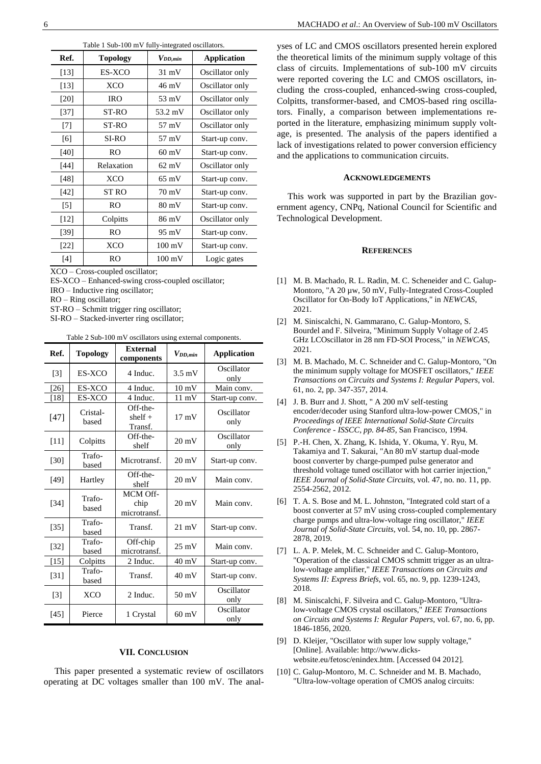| rable 1 Sub-100 m v Tuny-miegrated oscinators. |                 |                  |                    |  |  |  |
|------------------------------------------------|-----------------|------------------|--------------------|--|--|--|
| Ref.                                           | <b>Topology</b> | $V_{DD,min}$     | <b>Application</b> |  |  |  |
| [13]                                           | ES-XCO          | $31 \text{ mV}$  | Oscillator only    |  |  |  |
| [13]                                           | <b>XCO</b>      | 46 mV            | Oscillator only    |  |  |  |
| $[20]$                                         | <b>IRO</b>      | $53 \text{ mV}$  | Oscillator only    |  |  |  |
| $[37]$                                         | ST-RO           | 53.2 mV          | Oscillator only    |  |  |  |
| $[7]$                                          | ST-RO           | 57 mV            | Oscillator only    |  |  |  |
| [6]                                            | SI-RO           | 57 mV            | Start-up conv.     |  |  |  |
| $[40]$                                         | <b>RO</b>       | $60 \text{ mV}$  | Start-up conv.     |  |  |  |
| $[44]$                                         | Relaxation      | $62 \text{ mV}$  | Oscillator only    |  |  |  |
| [48]                                           | <b>XCO</b>      | $65 \text{ mV}$  | Start-up conv.     |  |  |  |
| [42]                                           | ST RO           | $70 \text{ mV}$  | Start-up conv.     |  |  |  |
| $\lceil 5 \rceil$                              | <b>RO</b>       | $80 \text{ mV}$  | Start-up conv.     |  |  |  |
| $[12]$                                         | Colpitts        | 86 mV            | Oscillator only    |  |  |  |
| [39]                                           | <b>RO</b>       | $95 \text{ mV}$  | Start-up conv.     |  |  |  |
| $[22]$                                         | <b>XCO</b>      | $100 \text{ mV}$ | Start-up conv.     |  |  |  |
| $[4]$                                          | <b>RO</b>       | $100 \text{ mV}$ | Logic gates        |  |  |  |

Table 1 Sub-100 mV fully-integrated oscillators.

XCO – Cross-coupled oscillator;

ES-XCO – Enhanced-swing cross-coupled oscillator;

IRO – Inductive ring oscillator;

RO – Ring oscillator;

ST-RO – Schmitt trigger ring oscillator;

SI-RO – Stacked-inverter ring oscillator;

Table 2 Sub-100 mV oscillators using external components.

| Ref.              | <b>Topology</b>   | <b>External</b><br>components    | $V_{DD,min}$     | <b>Application</b> |
|-------------------|-------------------|----------------------------------|------------------|--------------------|
| $\lceil 3 \rceil$ | ES-XCO            | 4 Induc.                         | $3.5 \text{ mV}$ | Oscillator<br>only |
| $[26]$            | ES-XCO            | 4 Induc.                         | $10 \text{ mV}$  | Main conv.         |
| [18]              | ES-XCO            | 4 Induc.                         | $11 \text{ mV}$  | Start-up conv.     |
| $[47]$            | Cristal-<br>based | Off-the-<br>$shelf +$<br>Transf. | $17 \text{ mV}$  | Oscillator<br>only |
| $[11]$            | Colpitts          | Off-the-<br>shelf                | $20 \text{ mV}$  | Oscillator<br>only |
| [30]              | Trafo-<br>based   | Microtransf.                     | $20 \text{ mV}$  | Start-up conv.     |
| $[49]$            | Hartley           | Off-the-<br>shelf                | $20 \text{ mV}$  | Main conv.         |
| $[34]$            | Trafo-<br>based   | MCM Off-<br>chip<br>microtransf. | $20 \text{ mV}$  | Main conv.         |
| $[35]$            | Trafo-<br>based   | Transf.                          | $21 \text{ mV}$  | Start-up conv.     |
| $[32]$            | Trafo-<br>based   | Off-chip<br>microtransf.         | $25 \text{ mV}$  | Main conv.         |
| $[15]$            | Colpitts          | 2 Induc.                         | $40 \text{ mV}$  | Start-up conv.     |
| $\left[31\right]$ | Trafo-<br>based   | Transf.                          | $40 \text{ mV}$  | Start-up conv.     |
| $[3]$             | <b>XCO</b>        | 2 Induc.                         | $50 \text{ mV}$  | Oscillator<br>only |
| $[45]$            | Pierce            | 1 Crystal                        | $60 \text{ mV}$  | Oscillator<br>only |

# **VII. CONCLUSION**

This paper presented a systematic review of oscillators operating at DC voltages smaller than 100 mV. The analyses of LC and CMOS oscillators presented herein explored the theoretical limits of the minimum supply voltage of this class of circuits. Implementations of sub-100 mV circuits were reported covering the LC and CMOS oscillators, including the cross-coupled, enhanced-swing cross-coupled, Colpitts, transformer-based, and CMOS-based ring oscillators. Finally, a comparison between implementations reported in the literature, emphasizing minimum supply voltage, is presented. The analysis of the papers identified a lack of investigations related to power conversion efficiency and the applications to communication circuits.

### **ACKNOWLEDGEMENTS**

This work was supported in part by the Brazilian government agency, CNPq, National Council for Scientific and Technological Development.

#### **REFERENCES**

- [1] M. B. Machado, R. L. Radin, M. C. Scheneider and C. Galup-Montoro, "A 20 µw, 50 mV, Fully-Integrated Cross-Coupled Oscillator for On-Body IoT Applications," in *NEWCAS*, 2021.
- [2] M. Siniscalchi, N. Gammarano, C. Galup-Montoro, S. Bourdel and F. Silveira, "Minimum Supply Voltage of 2.45 GHz LCOscillator in 28 nm FD-SOI Process," in *NEWCAS*, 2021.
- [3] M. B. Machado, M. C. Schneider and C. Galup-Montoro, "On the minimum supply voltage for MOSFET oscillators," *IEEE Transactions on Circuits and Systems I: Regular Papers,* vol. 61, no. 2, pp. 347-357, 2014.
- [4] J. B. Burr and J. Shott, " A 200 mV self-testing encoder/decoder using Stanford ultra-low-power CMOS," in *Proceedings of IEEE International Solid-State Circuits Conference - ISSCC, pp. 84-85*, San Francisco, 1994.
- [5] P.-H. Chen, X. Zhang, K. Ishida, Y. Okuma, Y. Ryu, M. Takamiya and T. Sakurai, "An 80 mV startup dual-mode boost converter by charge-pumped pulse generator and threshold voltage tuned oscillator with hot carrier injection," *IEEE Journal of Solid-State Circuits,* vol. 47, no. no. 11, pp. 2554-2562, 2012.
- [6] T. A. S. Bose and M. L. Johnston, "Integrated cold start of a boost converter at 57 mV using cross-coupled complementary charge pumps and ultra-low-voltage ring oscillator," *IEEE Journal of Solid-State Circuits,* vol. 54, no. 10, pp. 2867- 2878, 2019.
- [7] L. A. P. Melek, M. C. Schneider and C. Galup-Montoro, "Operation of the classical CMOS schmitt trigger as an ultralow-voltage amplifier," *IEEE Transactions on Circuits and Systems II: Express Briefs,* vol. 65, no. 9, pp. 1239-1243, 2018.
- [8] M. Siniscalchi, F. Silveira and C. Galup-Montoro, "Ultralow-voltage CMOS crystal oscillators," *IEEE Transactions on Circuits and Systems I: Regular Papers,* vol. 67, no. 6, pp. 1846-1856, 2020.
- [9] D. Kleijer, "Oscillator with super low supply voltage," [Online]. Available: http://www.dickswebsite.eu/fetosc/enindex.htm. [Accessed 04 2012].
- [10] C. Galup-Montoro, M. C. Schneider and M. B. Machado, "Ultra-low-voltage operation of CMOS analog circuits: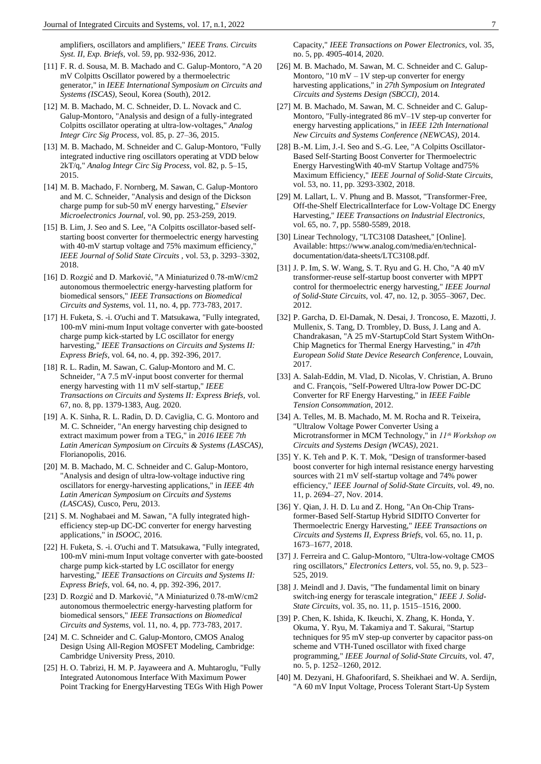amplifiers, oscillators and amplifiers," *IEEE Trans. Circuits Syst. II, Exp. Briefs,* vol. 59, pp. 932-936, 2012.

- [11] F. R. d. Sousa, M. B. Machado and C. Galup-Montoro, "A 20 mV Colpitts Oscillator powered by a thermoelectric generator," in *IEEE International Symposium on Circuits and Systems (ISCAS)*, Seoul, Korea (South), 2012.
- [12] M. B. Machado, M. C. Schneider, D. L. Novack and C. Galup-Montoro, "Analysis and design of a fully-integrated Colpitts oscillator operating at ultra-low-voltages," *Analog Integr Circ Sig Process,* vol. 85, p. 27–36, 2015.
- [13] M. B. Machado, M. Schneider and C. Galup-Montoro, "Fully integrated inductive ring oscillators operating at VDD below 2kT/q," *Analog Integr Circ Sig Process,* vol. 82, p. 5–15, 2015.
- [14] M. B. Machado, F. Nornberg, M. Sawan, C. Galup-Montoro and M. C. Schneider, "Analysis and design of the Dickson charge pump for sub-50 mV energy harvesting," *Elsevier Microelectronics Journal,* vol. 90, pp. 253-259, 2019.
- [15] B. Lim, J. Seo and S. Lee, "A Colpitts oscillator-based selfstarting boost converter for thermoelectric energy harvesting with 40-mV startup voltage and 75% maximum efficiency, *IEEE Journal of Solid State Circuits ,* vol. 53, p. 3293–3302, 2018.
- [16] D. Rozgić and D. Marković, "A Miniaturized 0.78-mW/cm2 autonomous thermoelectric energy-harvesting platform for biomedical sensors," *IEEE Transactions on Biomedical Circuits and Systems,* vol. 11, no. 4, pp. 773-783, 2017.
- [17] H. Fuketa, S. -i. O'uchi and T. Matsukawa, "Fully integrated, 100-mV mini-mum Input voltage converter with gate-boosted charge pump kick-started by LC oscillator for energy harvesting," *IEEE Transactions on Circuits and Systems II: Express Briefs,* vol. 64, no. 4, pp. 392-396, 2017.
- [18] R. L. Radin, M. Sawan, C. Galup-Montoro and M. C. Schneider, "A 7.5 mV-input boost converter for thermal energy harvesting with 11 mV self-startup," *IEEE Transactions on Circuits and Systems II: Express Briefs,* vol. 67, no. 8, pp. 1379-1383, Aug. 2020.
- [19] A. K. Sinha, R. L. Radin, D. D. Caviglia, C. G. Montoro and M. C. Schneider, "An energy harvesting chip designed to extract maximum power from a TEG," in *2016 IEEE 7th Latin American Symposium on Circuits & Systems (LASCAS)*, Florianopolis, 2016.
- [20] M. B. Machado, M. C. Schneider and C. Galup-Montoro, "Analysis and design of ultra-low-voltage inductive ring oscillators for energy-harvesting applications," in *IEEE 4th Latin American Symposium on Circuits and Systems (LASCAS)*, Cusco, Peru, 2013.
- [21] S. M. Noghabaei and M. Sawan, "A fully integrated highefficiency step-up DC-DC converter for energy harvesting applications," in *ISOOC*, 2016.
- [22] H. Fuketa, S. -i. O'uchi and T. Matsukawa, "Fully integrated, 100-mV mini-mum Input voltage converter with gate-boosted charge pump kick-started by LC oscillator for energy harvesting," *IEEE Transactions on Circuits and Systems II: Express Briefs,* vol. 64, no. 4, pp. 392-396, 2017.
- [23] D. Rozgić and D. Marković, "A Miniaturized 0.78-mW/cm2 autonomous thermoelectric energy-harvesting platform for biomedical sensors," *IEEE Transactions on Biomedical Circuits and Systems,* vol. 11, no. 4, pp. 773-783, 2017.
- [24] M. C. Schneider and C. Galup-Montoro, CMOS Analog Design Using All-Region MOSFET Modeling, Cambridge: Cambridge University Press, 2010.
- [25] H. O. Tabrizi, H. M. P. Jayaweera and A. Muhtaroglu, "Fully Integrated Autonomous Interface With Maximum Power Point Tracking for EnergyHarvesting TEGs With High Power
- [26] M. B. Machado, M. Sawan, M. C. Schneider and C. Galup-Montoro, " $10 \text{ mV} - 1 \text{V}$  step-up converter for energy harvesting applications," in *27th Symposium on Integrated Circuits and Systems Design (SBCCI)*, 2014.
- [27] M. B. Machado, M. Sawan, M. C. Schneider and C. Galup-Montoro, "Fully-integrated 86 mV–1V step-up converter for energy harvesting applications," in *IEEE 12th International New Circuits and Systems Conference (NEWCAS)*, 2014.
- [28] B.-M. Lim, J.-I. Seo and S.-G. Lee, "A Colpitts Oscillator-Based Self-Starting Boost Converter for Thermoelectric Energy HarvestingWith 40-mV Startup Voltage and75% Maximum Efficiency," *IEEE Journal of Solid-State Circuits,*  vol. 53, no. 11, pp. 3293-3302, 2018.
- [29] M. Lallart, L. V. Phung and B. Massot, "Transformer-Free, Off-the-Shelf ElectricalInterface for Low-Voltage DC Energy Harvesting," *IEEE Transactions on Industrial Electronics,*  vol. 65, no. 7, pp. 5580-5589, 2018.
- [30] Linear Technology, "LTC3108 Datasheet," [Online]. Available: https://www.analog.com/media/en/technicaldocumentation/data-sheets/LTC3108.pdf.
- [31] J. P. Im, S. W. Wang, S. T. Ryu and G. H. Cho, "A 40 mV transformer-reuse self-startup boost converter with MPPT control for thermoelectric energy harvesting," *IEEE Journal of Solid-State Circuits,* vol. 47, no. 12, p. 3055–3067, Dec. 2012.
- [32] P. Garcha, D. El-Damak, N. Desai, J. Troncoso, E. Mazotti, J. Mullenix, S. Tang, D. Trombley, D. Buss, J. Lang and A. Chandrakasan, "A 25 mV-StartupCold Start System WithOn-Chip Magnetics for Thermal Energy Harvesting," in *47th European Solid State Device Research Conference*, Louvain, 2017.
- [33] A. Salah-Eddin, M. Vlad, D. Nicolas, V. Christian, A. Bruno and C. François, "Self-Powered Ultra-low Power DC-DC Converter for RF Energy Harvesting," in *IEEE Faible Tension Consommation*, 2012.
- [34] A. Telles, M. B. Machado, M. M. Rocha and R. Teixeira, "Ultralow Voltage Power Converter Using a Microtransformer in MCM Technology," in  $11<sup>th</sup> Workshop on$ *Circuits and Systems Design (WCAS)*, 2021.
- [35] Y. K. Teh and P. K. T. Mok, "Design of transformer-based boost converter for high internal resistance energy harvesting sources with 21 mV self-startup voltage and 74% power efficiency," *IEEE Journal of Solid-State Circuits,* vol. 49, no. 11, p. 2694–27, Nov. 2014.
- [36] Y. Qian, J. H. D. Lu and Z. Hong, "An On-Chip Transformer-Based Self-Startup Hybrid SIDITO Converter for Thermoelectric Energy Harvesting," *IEEE Transactions on Circuits and Systems II, Express Briefs,* vol. 65, no. 11, p. 1673–1677, 2018.
- [37] J. Ferreira and C. Galup-Montoro, "Ultra-low-voltage CMOS ring oscillators," *Electronics Letters,* vol. 55, no. 9, p. 523– 525, 2019.
- [38] J. Meindl and J. Davis, "The fundamental limit on binary switch-ing energy for terascale integration," *IEEE J. Solid-State Circuits,* vol. 35, no. 11, p. 1515–1516, 2000.
- [39] P. Chen, K. Ishida, K. Ikeuchi, X. Zhang, K. Honda, Y. Okuma, Y. Ryu, M. Takamiya and T. Sakurai, "Startup techniques for 95 mV step-up converter by capacitor pass-on scheme and VTH-Tuned oscillator with fixed charge programming," *IEEE Journal of Solid-State Circuits,* vol. 47, no. 5, p. 1252–1260, 2012.
- [40] M. Dezyani, H. Ghafoorifard, S. Sheikhaei and W. A. Serdijn, "A 60 mV Input Voltage, Process Tolerant Start-Up System